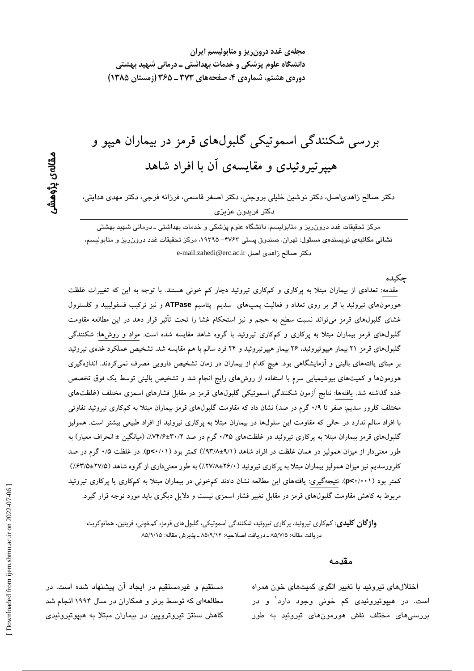بررسی شکنندگی اسموتیکی گلبولهای قرمز در بیماران هیپو و هیپرتیروئیدی و مقایسهی آن با افراد شاهد

دکتر صالح زاهدیاصل، دکتر نوشین خلیلی بروجنی، دکتر اصغر قاسمی، فرزانه فرجی، دکتر مهدی هدایتی، دكتر فريدون عزيزي

مرکز تحقیقات غدد درون٫یز و متابولیسم، دانشگاه علوم پزشکی و خدمات بهداشتی ـ درمانی شهید بهشتی نشانی مکاتبهی نویسندهی مسئول: تهران، صندوق پستی ۴۷۶۳– ۱۹۳۹۵، مرکز تحقیقات غدد درون ریز و متابولیسم، دكتر صالح زاهدى اصل e-mail:zahedi@erc.ac.ir

حكىدە

مقدمه: تعدادی از بیماران مبتلا به پرکاری و کمکاری تیروئید دچار کم خونی هستند. با توجه به این که تغییرات غلظت هورمونهای تیروئید با اثر بر روی تعداد و فعالیت پمپهای سدیم پتاسیم ATPase و نیز ترکیب فسفولیپید و کلسترول غشای گلبولهای قرمز میتواند نسبت سطح به حجم و نیز استحکام غشا را تحت تأثیر قرار دهد در این مطالعه مقاومت گلبول های قرمز بیماران مبتلا به پرکاری و کمکاری تیروئید با گروه شاهد مقایسه شده است. مواد و روش ها: شکنندگی گلبولهای قرمز ۲۱ بیمار هیپوتیروئید، ۲۶ بیمار هیپرتیروئید و ۲۴ فرد سالم با هم مقایسه شد. تشخیص عملکرد غدهی تیروئید بر مبنای یافتههای بالینی و آزمایشگاهی بود. هیچ کدام از بیماران در زمان تشخیص دارویی مصرف نمیکردند. اندازهگیری هورمونها و کمیتهای بیوشیمیایی سرم با استفاده از روشهای رایج انجام شد و تشخیص بالینی توسط یک فوق تخصص غدد گذاشته شد. یافتهها: نتایج آزمون شکنندگی اسموتیکی گلبولهای قرمز در مقابل فشارهای اسمزی مختلف (غلظتهای مختلف کلرور سدیم: صفر تا ۰/۹ گرم در صد) نشان داد که مقاومت گلبولهای قرمز بیماران مبتلا به کمکاری تیروئید تفاوتی با افراد سالم ندارد در حالی که مقاومت این سلولها در بیماران مبتلا به پرکاری تیروئید از افراد طبیعی بیشتر است. همولیز گلبولهای قرمز بیماران مبتلا به پرکاری تیروئید در غلظتهای ۰/۴۵ گرم در صد ۳۰/۲+۶/:۷۴/۶): (میانگین ± انحراف معیار) به طور معنیدار از میزان همولیز در همان غلظت در افراد شاهد (۹/۱±۹۳/۸) کمتر بود (p<۰/۰۱). در غلظت ۰/۵ گرم در صد کلرورسدیم نیز میزان همولیز بیماران مبتلا به یرکاری تیروئید ( ۲۶/۰±۲۷/۸) به طور معنیداری از گروه شاهد (۲۷/۵±۲۷/۵) کمتر بود (p<۰/۰۰۱). نتیجهگیری: یافتههای این مطالعه نشان دادند کمخونی در بیماران مبتلا به کمکاری یا پرکاری تیروئید مربوط به کاهش مقاومت گلبولهای قرمز در مقابل تغییر فشار اسمزی نیست و دلایل دیگری باید مورد توجه قرار گیرد.

**واژ گان کلیدی**: کمکاری تیروئید، پرکاری تیروئید، شکنندگی اسموتیکی، گلبولهای قرمز، کمخونی، فریتین، هماتوکریت دريافت مقاله: ٨٥/٧/٥ ـ دريافت اصلاحيه: ٨٥/٩/١۴ ـ پذيرش مقاله: ٨٥/٩/١٥

#### مقدمه

اختلال های تیروئید با تغییر الگوی کمیتهای خون همراه است. در هیپوتیروئی*دی* کم خونی وجود دارد<sup>۱</sup> و در بررسی،های مختلف نقش هورمون،های تیروئید به طور

مستقیم و غیرمستقیم در ایجاد آن پیشنهاد شده است. در مطالعهای که توسط برنر و همکاران در سال ۱۹۹۴ انجام شد کاهش سنتز تیروتروپین در بیماران مبتلا به هیپوتیروئیدی

مقالەي پڑوھشر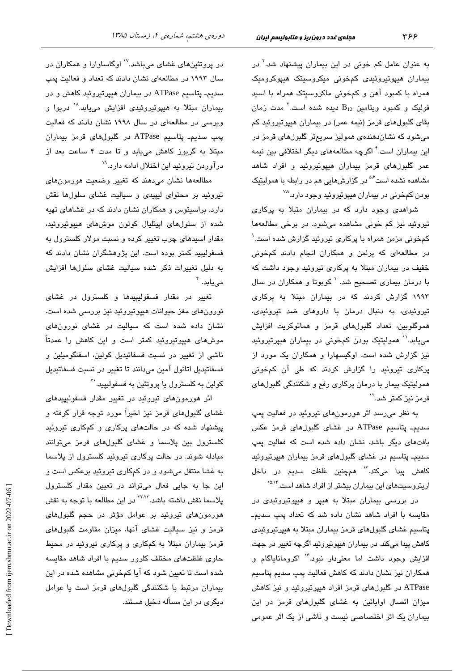به عنوان عامل کم خونی در این بیماران پیشنهاد شد.<sup>۲</sup> در بیماران هیپوتیروئیدی کمخونی میکروسیتک هیپوکرومیک همراه با کمبود آهن و کمخونی ماکروسیتک همراه با اسید فولیک و کمبود ویتامین  $\mathrm{B}_{12}$  دیده شده است. $^\mathrm{7}$  مدت زمان بقای گلبولهای قرمز (نیمه عمر) در بیماران هیپوتیروئید کم میشود که نشاندهندهی همولیز سریعتر گلبولهای قرمز در این بیماران است.<sup>۴</sup> اگرچه مطالعههای دیگر اختلافی بین نیمه عمر گلبولهای قرمز بیماران هیپوتیروئید و افراد شاهد مشاهده نشده است<sup>۵۶</sup> در گزارشهایی هم در رابطه با همولیتیک بودن کمخونی در بیماران هیپوتیروئید وجود دارد.<sup>۷۸</sup>

شواهدی وجود دارد که در بیماران متبلا به پرکاری تیروئید نیز کم خونی مشاهده میشود. در برخی مطالعهها کمخونی مزمن همراه با پرکاری تیروئید گزارش شده است. ٔ در مطالعهای که پرلمن و همکاران انجام دادند کمخونی خفیف در بیماران مبتلا به پرکاری تیروئید وجود داشت که با درمان بیماری تصحیح شد. `` کوبوتا و همکاران در سال ۱۹۹۳ گزارش کردند که در بیماران مبتلا به پرکاری تیروئیدی، به دنبال درمان با داروهای ضد تیروئیدی، هموگلوبین، تعداد گلبولهای قرمز و هماتوکریت افزایش می یابد.'' همولیتیک بودن کمخونی در بیماران هیپرتیروئید نیز گزارش شده است. اوگیسهارا و همکاران یک مورد از پرکاری تیروئید را گزارش کردند که طی آن کمخونی همولیتیک بیمار با درمان پرکاری رفع و شکنندگی گلبولهای قرمز نیز کمتر شد.''

به نظر میرسد اثر هورمونهای تیروئید در فعالیت پمپ سدیم۔ پتاسیم ATPase در غشای گلبولهای قرمز عکس بافتهای دیگر باشد. نشان داده شده است که فعالیت پمپ سدیم۔ پتاسیم در غشا*ی* گلبولها*ی* قرمز بیماران هیپرتیروئید كاهش پيدا مىكند.<sup>۱۳</sup> همچنین غلظت سدیم در داخل اریتروسیتهای این بیماران بیشتر از افراد شاهد است.<sup>۱۵۸۴</sup>

در بررسی بیماران مبتلا به هیپر و هیپوتیروئیدی در مقایسه با افراد شاهد نشان داده شد که تعداد پمپ سدیم۔ پتاسیم غشای گلبولهای قرمز بیماران مبتلا به هیپرتیروئیدی کاهش پیدا میکند. در بیماران هیپوتیروئید اگرچه <mark>تغ</mark>ییر در جهت افزایش وجود داشت اما معنیدار نبود. ۱٬ اکرومانایاگام و همکاران نیز نشان دادند که کاهش فعالیت یمپ سدیم پتاسیم ATPase در گلبول های قرمز افراد هیپرتیروئید و نیز کاهش میزان اتصال اوابائین به غشای گلبولهای قرمز در این بیماران یک اثر اختصاصی نیست و ناشی از یک اثر عمومی

در پروتئینهای غشای میباشد.<sup>۱۷</sup> اوگاساوارا و همکاران در سال ۱۹۹۳ در مطالعهای نشان دادند که تعداد و فعالیت یمپ سدیم۔ پتاسیم ATPase در بیماران هیپرتیروئید کاهش و در بیماران مبتلا به هیپوتیروئیدی افزایش مییابد.<sup>۱۸</sup> دریوا و ویرسی در مطالعهای در سال ۱۹۹۸ نشان دادند که فعالیت پمپ سدیم۔ پتاسیم ATPase در گلبولهای قرمز بیماران مبتلا به گریوز کاهش مییابد و تا مدت ۴ ساعت بعد از درآوردن تیروئید این اختلال ادامه دارد.<sup>۱۹</sup>

مطالعهها نشان مىدهند كه تغيير وضعيت هورمونهاى تیروئید بر محتوای لیپیدی و سیالیت غشای سلولها نقش دارد. براسیتوس و همکاران نشان دادند که در غشاهای تهیه شده از سلولهای ایپتلیال کولون موشهای هیپوتیروئید، مقدار اسبدهای چرب <mark>تغیی</mark>ر کرده و نسبت مولار کلسترول به فسفولیپید کمتر بوده است. این پژوهشگران نشان دادند که به دلیل تغییرات ذکر شده سیالیت غشای سلولها افزایش مے یابد. ``

تغییر در مقدار فسفولیپیدها و کلسترول در غشای نورونهای مغز حیوانات هیپوتیروئید نیز بررسی شده است. نشان داده شده است که سیالیت در غشای نورونهای موشهای هیپوتیروئید کمتر است و این کاهش را عمدتاً ناشی از تغییر در نسبت فسفاتیدیل کولین، اسفنگومیلین و فسفاتيديل اتانول آمين مىدانند تا تغيير در نسبت فسفاتيديل کولین به کلسترول یا پروتئین به فسفولیپید.<sup>۳۱</sup>

اثر هورمونهای تیروئید در تغییر مقدار فسفولیپیدهای غشای گلبولهای قرمز نیز اخیراً مورد توجه قرار گرفته و پیشنهاد شده که در حالتهای پرکاری و کمکاری تیروئید کلسترول بین پلاسما و غشای گلبولهای قرمز میتوانند مبادله شوند. در حالت پرکاری تیروئید کلسترول از پلاسما به غشا منتقل میشود و در کمکاری تیروئید برعکس است و این جا به جایی فعال میتواند در تعیین مقدار کلسترول پلاسما نقش داشته باشد.<sup>۲۲٬۲۲</sup> در این مطالعه با توجه به نقش هورمونهای تیروئید بر عوامل مؤثر در حجم گلبولهای قرمز و نیز سیالیت غشای آنها، میزان مقاومت گلبولهای قرمز بیماران مبتلا به کمکاری و پرکاری تیروئید در محیط حاوی غلظتهای مختلف کلرور سدیم با افراد شاهد مقایسه شده است تا تعیین شود که آیا کمخونی مشاهده شده در این بیماران مرتبط با شکنندگی گلبولهای قرمز است یا عوامل دیگری در این مسأله دخیل هستند.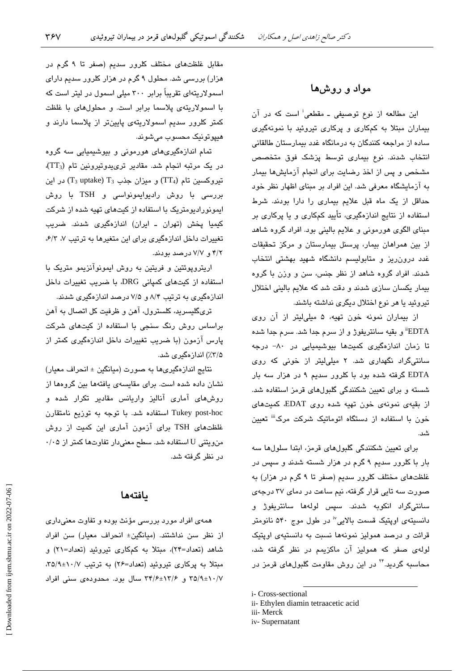# مواد و روشها

این مطالعه از نوع توصیفی ـ مقطعی<sup>:</sup> است که در آن بیماران مبتلا به کمکاری و پرکاری تیروئید با نمونهگیری ساده از مراجعه کنندگان به درمانگاه غدد بیمارستان طالقانی انتخاب شدند. نوع بیماری توسط پزشک فوق متخصص مشخص و پس از اخذ رضایت برای انجام آزمایشها بیمار به آزمایشگاه معرفی شد. این افراد بر مبنای اظهار نظر خود حداقل از یک ماه قبل علایم بیماری را دارا بودند. شرط استفاده از نتایج اندازهگیری، تأیید کمکاری و یا پرکاری بر مبنای الگوی هورمونی و علایم بالینی بود. افراد گروه شاهد از بین همراهان بیمار، پرسنل بیمارستان و مرکز تحقیقات غدد درون ریز و متابولیسم دانشگاه شهید بهشتی انتخاب شدند. افراد گروه شاهد از نظر جنس، سن و وزن با گروه بیمار یکسان سازی شدند و دقت شد که علایم بالینی اختلال تيروئيد يا هر نوع اختلال ديگري نداشته باشند.

از بیماران نمونه خون تهیه، ۵ میلی لیتر از آن روی EDTA" و بقيه سانتريفوژ و از سرم جدا شد. سرم جدا شده تا زمان اندازهگیری کمیتها بیوشیمیایی در ۸۰– درجه سانتیگراد نگهداری شد. ۲ میلیلیتر از خونی که روی EDTA گرفته شده بود با کلرور سدیم ۹ در هزار سه بار شسته و برای تعیین شکنندگی گلبولهای قرمز استفاده شد. از بقیهی نمونهی خون تهیه شده روی EDAT، کمیتهای خون با استفاده از دستگاه اتوماتیک شرکت مرک<sup>نن</sup> تعیین شد.<br>ت

برای تعیین شکنندگی گلبولهای قرمز، ابتدا سلولها سه بار با کلرور سدیم ۹ گرم در هزار شسته شدند و سپس در غلظتهای مختلف کلرور سدیم (صفر تا ۹ گرم در هزار) به صورت سه تایی قرار گرفته، نیم ساعت در دمای ۳۷ درجهی سانتیگراد انکوبه شدند. سپس لولهها سانتریفوژ و دانسیتهی اویتیک قسمت بالایی" در طول موج ۵۴۰ نانومتر قرائت و درصد همولیز نمونهها نسبت به دانستیهی اویتیک لولهی صفر که همولیز آن ماکزیمم در نظر گرفته شد، محاسبه گردید.<sup>۲۴</sup> در این روش مقاومت گلبولها*ی* قرمز در

i- Cross-sectional

- ii- Ethylen diamin tetraacetic acid
- iii- Merck
- iv-Supernatant

مقابل غلظتهای مختلف کلرور سدیم (صفر تا ۹ گرم در هزار) بررسی شد. محلول ۹ گرم در هزار کلرور سدیم دارای اسمولاریتهای تقریباً برابر ۳۰۰ میلی اسمول در لیتر است که با اسمولاریتهی پلاسما برابر است. و محلولهای با غلظت کمتر کلرور سدیم اسمولاریتهی پایینتر از پلاسما دارند و هيپوتونيک محسوب میشوند.

تمام اندازهگیریهای هورمونی و بیوشیمیایی سه گروه  $(TT_3)$  در یک مرتبه انجام شد. مقادیر تری یدوتیرونین تام (TT3)، تیروکسین تام (TT4) و میزان جذب (T3 uptake) در این بررسی با روش رادیوایمونواسی و TSH با روش ایمونورادیومتریک با استفاده از کیتهای تهیه شده از شرکت کیمیا پخش (تهران ـ ایران) اندازهگیری شدند. ضریب تغییرات داخل اندازهگیری برای این متغیرها به ترتیب ۷، ۶/۳، ۴/۲ و. ۷/۷ درصد بودند.

اریتروپوئتین و فریتین به روش ایمونوآنزیمو متریک با استفاده از کیتهای کمپانی DRG با ضریب تغییرات داخل اندازهگیری به ترتیب ۸/۴ و ۷/۵ درصد اندازهگیری شدند.

تریگلیسرید، کلسترول، آهن و ظرفیت کل اتصال به آهن براساس روش رنگ سنجی با استفاده از کیتهای شرکت پارس آزمون (با ضریب تغییرات داخل اندازهگیری کمتر از ۲/۵٪) اندازهگىرى شد.

نتایج اندازهگیریها به صورت (میانگین ± انحراف معیار) نشان داده شده است. برای مقایسهی یافتهها بین گروهها از روشهای آماری آنالیز واریانس مقادیر تکرار شده و Tukey post-hoc استفاده شد. با توجه به توزيع نامتقارن غلظتهای TSH برای آزمون آماری این کمیت از روش من ويتني U استفاده شد. سطح معنى دار تفاوتها كمتر از ۰/۰۵ در نظر گرفته شد.

## بافتهها

همهی افراد مورد بررسی مؤنث بوده و تفاوت معنیداری از نظر سن نداشتند. (میانگین± انحراف معیار) سن افراد شاهد (تعداد=۲۴)، مبتلا به کمکاری تیروئید (تعداد=۲۱) و مبتلا به پرکاری تیروئید (تعداد=۲۶) به ترتیب ۰/۷+۲۵/۹، ۳۵/۹±۱۰/۷ و ۳۴/۶±۱۳/۶ سال بود. محدودهی سنی افراد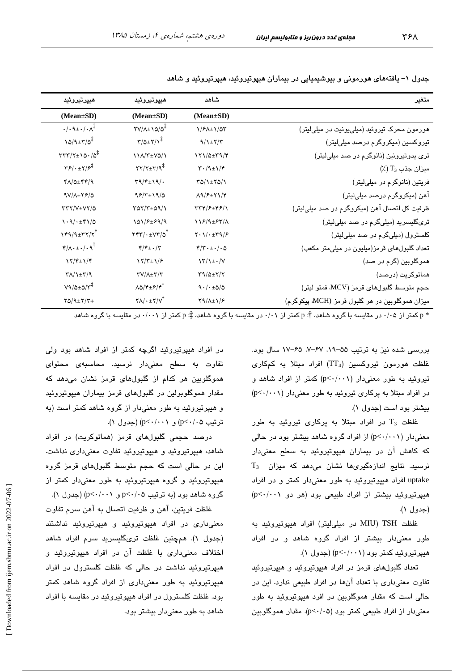| هييرتيروئيد                                                                      | هيپوتيروئيد                                                                        | شاهد                                                      | متغير                                           |
|----------------------------------------------------------------------------------|------------------------------------------------------------------------------------|-----------------------------------------------------------|-------------------------------------------------|
| (Mean±SD)                                                                        | (Mean±SD)                                                                          | $(Mean \pm SD)$                                           |                                                 |
| $\cdot/\cdot \mathcal{A} \pm \cdot/\cdot \Lambda^{\ddagger}$                     | $\frac{1}{2}$                                                                      | 1/۶۸±1/۵۳                                                 | هورمون محرک تیروئید (میلی یونیت در میلی لیتر)   |
| $10/9 \pm 7/0^{\frac{1}{4}}$                                                     | $\Upsilon/\Delta \pm \Upsilon/\Upsilon^{\ddagger}$                                 | $9/1$ $\pm$ $7/7$                                         | تیروکسین (میکروگرم درصد میلیلیتر)               |
| $TTY/Y \pm 10.70^{\ddagger}$                                                     | 11/1/T±VQ/1                                                                        | 171/0±٣٩/۴                                                | تری پدوتیرونین (نانوگرم در صد میلیلیتر)         |
| $\mathbf{Y}$ $\mathbf{Y}$ $\cdot$ $\pm \mathbf{Y}$ $\mathbf{Y}$ $\mathbf{Y}$     | $\Upsilon \Upsilon / \Upsilon \pm \Upsilon / \mathcal{R}^{\ddagger}$               | $\mathbf{Y} \cdot (\mathbf{A} \pm \mathbf{1})/\mathbf{Y}$ | $\left(\frac{1}{2}\right)$ میزان جذب $T_3$      |
| $Y\Lambda/\Delta \pm YY/\gamma$                                                  | $\Upsilon \eta / \Upsilon \pm \Upsilon \eta / \cdot$                               | $YQ/\lambda + YQ/\lambda$                                 | فریتین (نانوگرم در میلیلیتر)                    |
| $9V/\lambda \pm 79/\Delta$                                                       | $95/7 \pm 19/0$                                                                    | $\Lambda$ 9/ $\epsilon$ + $\Upsilon$ 1/ $\Upsilon$        | آهن (میکروگرم درصد میلیلیتر)                    |
| $\tau\tau\tau/\nu_{\pm}\nu\tau/\Delta$                                           | $YAY/Y+\Delta Y/\lambda$                                                           | <b>TTF/F±FF/1</b>                                         | ظرفیت کل اتصال آهن (میکروگرم در صد میلیلیتر)    |
| $\backslash \cdot \backslash / \cdot \pm \mathfrak{r} \backslash / \vartriangle$ | 101/۶±۶۹/۹                                                                         | 118/9±85/1                                                | تریگلیسرید (میلیگرم در صد میلیلیتر)             |
| $Y^{\alpha}/4$ + $Y^{\gamma}$                                                    | $\mathbf{Y}\mathbf{Y}\mathbf{Y}/\cdot\pm\mathbf{V}\mathbf{Y}/\mathbf{Q}^{\dagger}$ | $Y \cdot 1 / \cdot \pm Y \cdot 1 / 5$                     | کلسترول (میلیگرم در صد میلی لیتر)               |
| $\mathbf{f}/\Lambda \cdot \pm \cdot / \cdot \mathbf{q}^{\dagger}$                | $\mathbf{f}/\mathbf{f}$ + $\cdot/\mathbf{f}$                                       | $\mathfrak{r}/\mathfrak{r}\cdot\pm\cdot$ / $\cdot$ 0      | تعداد گلبولهای قرمز(میلیون در میلی متر مکعب)    |
| $\frac{1}{\gamma + 1}$                                                           | $Y/Y_{\pm}Y/\epsilon$                                                              | $\frac{\Upsilon}{\Upsilon}$                               | هموگلوبین (گرم در صد)                           |
| $\Upsilon \Lambda / \Upsilon \pm \Upsilon / \Upsilon$                            | $\Upsilon V/\Lambda \pm \Upsilon/\Upsilon$                                         | $\Upsilon$ 9/0± $\Upsilon/\Upsilon$                       | هماتوكريت (درصد)                                |
| $V9/2\times 2/V^*$                                                               | $\Lambda \Delta / \mathfrak{r} \pm \mathfrak{F} / \mathfrak{r}^*$                  | 9.1.120                                                   | حجم متوسط گلبولهای قرمز (MCV، فمتو لیتر)        |
| $Y\Delta / \mathcal{A} \pm Y/Y +$                                                | $Y \Lambda / \cdot \pm Y / V^*$                                                    | $Y9/\lambda \pm 1/F$                                      | ميزان هموگلوبين در هر گلبول قرمز (MCH، پيكوگرم) |

جدول ۱– یافتههای هورمونی و بیوشیمیایی در بیماران هیپوتیروئید، هیپرتیروئید و شاهد

\* p کمتر از ۰/۰۵ در مقاسبه با گروه شاهد، †: p کمتر از ۰/۰۱ در مقاسبه با گروه شاهد، ‡: p کمتر از ۰/۰۰۱ در مقاسبه با گروه شاهد

بررسی شده نیز به ترتیب ۵۵–۰۹، ۶۷–۰٪ ۶۵–۱۷ سال بود. غلظت هورمون تیروکسین (TT4) افراد مبتلا به کمکاری تیروئید به طور معنیدار (p<٠/٠٠١) کمتر از افراد شاهد و  $(p<\cdot/\cdot\cdot)$  در افراد میتلا به پرکاری تیروئید به طور معنیدار بیشتر بود است (جدول ۱).

غلظت  $T_3$  در افراد مبتلا به پركارى تيروئيد به طور معنیدار (p<٠/٠٠١) از افراد گروه شاهد بیشتر بود در حالی که کاهش آن در بیماران هیپوتیروئید به سطح معنیدار  $T_3$  نرسید. نتایج اندازهگیریها نشان میدهد که میزان uptake افراد هیپوتیروئید به طور معنیدار کمتر و در افراد هیپرتیروئید بیشتر از افراد طبیعی بود (هر دو p<٠/٠٠١) (جدول ۱).

غلظت MIU) TSH در میلی لیتر) افراد هیپوتیروئید به طور معنیٍدار بیشتر از افراد گروه شاهد و در افراد هیپرتیروئید کمتر بود (p<٠/٠٠١) (جدول ١).

تعداد گلبولهای قرمز در افراد هیپوتیروئید و هیپرتیروئید تفاوت معنى دارى با تعداد آنها در افراد طبيعى ندارد. اين در حالي است که مقدار هموگلوبين در افرد هيپوتيروئيد به طور معنی دار از افراد طبیعی کمتر بود (p<٠/٠۵). مقدار هموگلویین

در افراد هیپرتیروئید اگرچه کمتر از افراد شاهد بود ولی تفاوت به سطح معنیدار نرسید. محاسبهی محتوای هموگلوبین هر کدام از گلبولهای قرمز نشان میدهد که مقدار هموگلوپولین در گلبولهای قرمز بیماران هیپوتیروئید و هیپرتیروئید به طور معنیدار از گروه شاهد کمتر است (به ترتیب ۵ ۰/ ۰>p) و p<۰/۰۰) (جدول ۱).

درصد حجمی گلئولهای قرمز (هماتوکریت) در افراد شاهد، هیپرتیروئید و هیپوتیروئید تفاوت معنیداری نداشت. این در حالی است که حجم متوسط گلبولهای قرمز گروه هیپوتیروئید و گروه هیپرتیروئید به طور معنیٍدار کمتر از گروه شاهد بود (به ترتیب p<٠/٠۵ و p<٠/٠١) (جدول ١).

غلظت فريتين، آهن و ظرفيت اتصال به آهن سرم تفاوت معنیداری در افراد هیپوتیروئید و هیپرتیروئید نداشتند (جدول ۱). همچنین غلظت تریگلیسرید سرم افراد شاهد اختلاف معنی داری با غلظت آن در افراد هیپوتیروئید و هیپرتیروئید نداشت در حالی که غلظت کلسترول در افراد هیپرتیروئید به طور معنیداری از افراد گروه شاهد کمتر بود. غلظت کلسترول در افراد هیپوتیروئید در مقایسه با افراد شاهد به طور معنی دار بیشتر بود.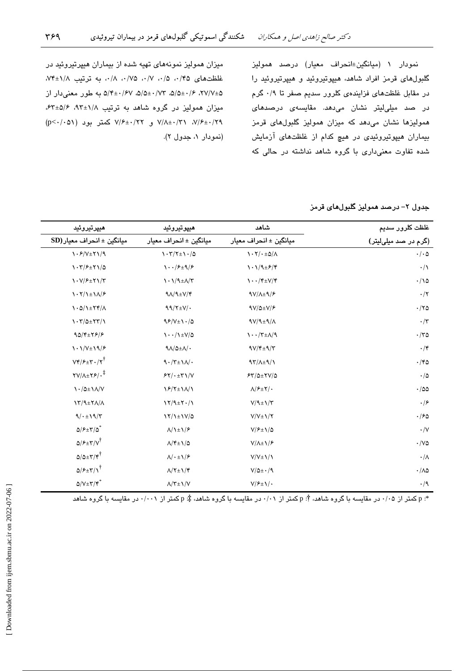نمودار ١ (ميانگين±انحراف معيار) درصد هموليز گلبولهای قرمز افراد شاهد، هیپوتیروئید و هیپرتیروئید را در مقابل غلظتهای فزایندهی کلرور سدیم صفر تا ۰/۹ گرم در صد میلیلیتر نشان میدهد. مقایسه*ی* درصدها*ی* همولیزها نشان میدهد که میزان همولیز گلبولهای قرمز بیماران هیپوتیروئیدی در هیچ کدام از غلظتهای آزمایش شده تفاوت معنیداری با گروه شاهد نداشته در حالی که

میزان همولیز نمونههای تهیه شده از بیماران هیپرتیروئید در غلظتهای ۰/۵،۰/۵، ۰/۷، ۰/۷۵، ۰/۸، به ترتیب ۰/۸+۷۴ ۲۷/۷±۵/۵ ۰/۶۲، ۵/۵±۰/۶۷، ۵/۵±۰/۶۷ به طور معنیدار از میزان همولیز در گروه شاهد به ترتیب ۹۲±۹۲، ۶۴±۵/۶، ۷/۶±۰/۲۹ و. ۷/۶±۰/۲۲ کمتر بود (p<۰/۰۵۱) (نمودار ۱، جدول ۲).

جدول ٢– درصد همولیز گلبولهای قرمز

| هيپرتيروئيد                                                      | هيپوتيروئيد                                                                                                                   | شاهد                                                                            | غلظت کلرور سدیم                   |
|------------------------------------------------------------------|-------------------------------------------------------------------------------------------------------------------------------|---------------------------------------------------------------------------------|-----------------------------------|
| $SD$ میانگین ± انحراف معیار                                      | ميانگين ± انحراف معيار                                                                                                        | ميانگين ± انحراف معيار                                                          | (گرم در صد میلیلیتر)              |
| $\frac{\gamma \cdot \mathcal{S}}{\nu \pm \gamma \sqrt{q}}$       | $\gamma \cdot \gamma / \gamma \pm \gamma \cdot / \Delta$                                                                      | $\mathcal{N}\cdot\mathcal{N}/\cdot\pm\Delta/\Lambda$                            | $\cdot/\cdot \Delta$              |
| $\gamma \cdot \frac{1}{2}$                                       | $\mathcal{N} \cdot \frac{1}{\mathcal{F}} \mathcal{F} + \mathcal{N} \mathcal{F}$                                               | $\lambda \cdot \lambda / \lambda \pm \mathcal{F}/\mathfrak{f}$                  | $\cdot/\wedge$                    |
| $\binom{1-V}{f}$ + $\binom{V}{f}$                                | $\lambda \cdot \lambda/9 \pm \Lambda/\Upsilon$                                                                                | $\mathcal{N} \cdot \mathcal{N} \rightarrow \mathcal{N} \rightarrow \mathcal{N}$ | $\cdot/\backslash \vartriangle$   |
| $\lambda \cdot \gamma / \lambda \pm \lambda / \epsilon$          | $9\Lambda/9\pm V/\mathfrak{S}$                                                                                                | $9V/\lambda \pm 9/8$                                                            | $\cdot/$ ٢                        |
| $\lambda \cdot \Delta / \lambda \pm \Upsilon \Upsilon / \Lambda$ | $99/\frac{1}{12}\sqrt{1}$                                                                                                     | $9V/\Delta \pm V/F$                                                             | $\cdot$ /۲۵                       |
| $\binom{1+\kappa}{2}$                                            | $95/V \pm 1.4$                                                                                                                | $4V/4H4/\Lambda$                                                                | $\cdot/\tau$                      |
| $90/\sqrt{2579/5}$                                               | $\lambda \cdot \cdot / \lambda \pm V/\Delta$                                                                                  | $\mathcal{N} \cdot \mathcal{N} \pm \mathcal{N}/\mathcal{N}$                     | $\cdot$ /٣۵                       |
| $\langle \cdot \rangle / V_{\pm} \rangle / \gamma$               | $9\Lambda/\Delta \pm \Lambda/\cdot$                                                                                           | $9V/f+9/r$                                                                      | $\cdot$ /۴                        |
| $Vf/\mathcal{F} \pm \mathcal{r} \cdot / \mathcal{r}^{\dagger}$   | $\ensuremath{\mathsf{q}}\xspace \cdot \!/\ensuremath{\mathsf{r}}\xspace \! \pm \! \ensuremath{\mathsf{q}}\xspace \!/\! \cdot$ | $97/\lambda \pm 9/\gamma$                                                       | $\cdot$ /۴۵                       |
| $\frac{1}{2}$                                                    | 54/1.1471/V                                                                                                                   | $54/0 \pm 10/0$                                                                 | $\cdot/\vartriangle$              |
| $\binom{1}{\Delta}$ $\pm \frac{1}{\Delta}$                       | $Y/ Y \pm Y/\Lambda$                                                                                                          | $\Lambda$ / $\mathcal{F}$ $\pm$ Y/ $\cdot$                                      | $\cdot$ /00                       |
| $\Upsilon\Upsilon/9\pm\Upsilon\Lambda/\Lambda$                   | $\frac{1}{\sqrt{4}}$                                                                                                          | $V/9 \pm 1/\Upsilon$                                                            | $\cdot$ /۶                        |
| 9/1.19/5                                                         | $17/1 \pm 11/2$                                                                                                               | $V/V \pm 1/Y$                                                                   | $\cdot$ /۶۵                       |
| $\Delta$ / $\epsilon$ + $\tau$ / $\Delta^*$                      | $\Lambda/\lambda \pm \lambda/\ell$                                                                                            | $V/F \pm 1/\Delta$                                                              | $\cdot/\vee$                      |
| $Q/P \pm Y/V^{\dagger}$                                          | $\Lambda/\mathfrak{k} \pm \mathfrak{1}/\mathfrak{0}$                                                                          | $V/\lambda \pm \frac{\sqrt{5}}{2}$                                              | $\cdot$ /V۵                       |
| $\Delta/\Delta \pm \Upsilon/\Upsilon^{\dagger}$                  | $\Lambda/\cdot \pm \mathrm{1}/\mathrm{\mathcal{F}}$                                                                           | $V/V \pm V/\lambda$                                                             | $\cdot/\Lambda$                   |
| $Q/P \pm \Upsilon/\Upsilon$                                      | $\Lambda/\Upsilon \pm \Upsilon/\Upsilon$                                                                                      | $V/\Delta \pm \cdot /9$                                                         | $\cdot$ /<br>$\wedge\vartriangle$ |
| $\Delta/V \pm \Upsilon/\Upsilon^*$                               | $\Lambda/\Upsilon\pm1/\Upsilon$                                                                                               | $V/F \pm V$ .                                                                   | $\cdot/9$                         |

\*: p کمتر از ۰/۰۵ در مقایسه با گروه شاهد، †: p کمتر از ۰/۰۱ در مقایسه با گروه شاهد، ‡: p کمتر از ۰/۰۰۱ در مقایسه با گروه شاهد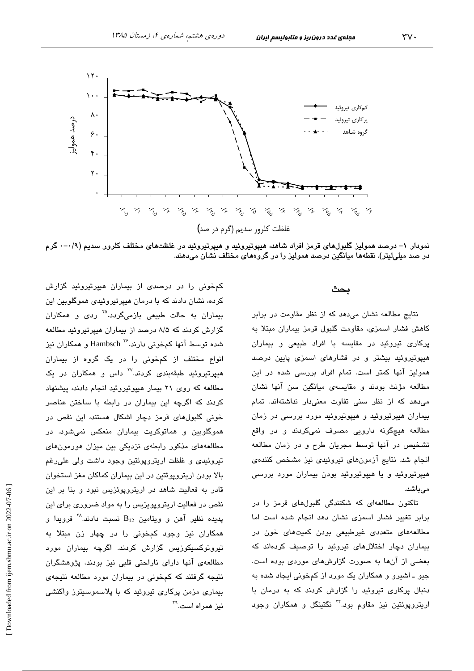

نمودار ۱– درصد همولیز گلبولهای قرمز افراد شاهد، هیپوتیروئید و هیپرتیروئید در غلظتهای مختلف کلرور سدیم (۰/۹–۰ گرم در صد میلیلیتر). نقطهها میانگین درصد همولیز را در گروههای مختلف نشان میدهند.

### بحث

نتایج مطالعه نشان می دهد که از نظر مقاومت در برابر كاهش فشار اسمزى، مقاومت گلبول قرمز بيماران مبتلا به یرکاری تیروئید در مقایسه با افراد طبیعی و بیماران هیپوتیروئید بیشتر و در فشارهای اسمزی پایین درصد همولیز آنها کمتر است. تمام افراد بررسی شده در این مطالعه مؤنث بودند و مقايسهى ميانگين سن آنها نشان می دهد که از نظر سنی تفاوت معنی دار نداشتهاند. تمام بیماران هیپرتیروئید و هیپوتیروئید مورد بررسی در زمان مطالعه هیچگونه دارویی مصرف نمیکردند و در واقع تشخیص در آنها توسط مجریان طرح و در زمان مطالعه انجام شد. نتایج آزمونهای تیروئیدی نیز مشخص کنندهی هیپرتیروئید و یا هیپوتیروئید بودن بیماران مورد بررسی مے راشد.

تاکنون مطالعهای که شکنندگی گلبولهای قرمز را در برابر تغییر فشار اسمزی نشان دهد انجام شده است اما مطالعههای متعددی غیرطبیعی بودن کمیتهای خون در بیماران دچار اختلالهای تیروئید را توصیف کردهاند که بعضی از آنها به صورت گزارشهای موردی بوده است. جيو ـ اشپرو و همکاران يک مورد از کمخونی ايجاد شده به دنبال پرکاری تیروئید را گزارش کردند که به درمان با اریتروپوئتین نیز مقاوم بود.<sup>۲۴</sup> نگتینگل و همکاران وجود

کمخونی را در درصدی از بیماران هیپرتیروئید گزارش کرده، نشان دادند که با درمان هیپرتیروئیدی هموگلوبین این بیماران به حالت طبیعی بازمی،گردد.<sup>۲۵</sup> ردی و همکاران گزارش کردند که ۸/۵ درصد از بیماران هیپرتیروئید مطالعه شده توسط آنها کمخونی دارند.<sup>۲۶</sup> Hambsch و همکاران نیز انواع مختلف از کمخونی را در یک گروه از بیماران هیپرتیروئید طبقهبندی کردند.<sup>۲۷</sup> داس و همکاران در یک مطالعه که روی ۲۱ بیمار هیپوتیروئید انجام دادند، پیشنهاد کردند که اگرچه این بیماران در رابطه با ساختن عناصر خونی گلبولهای قرمز دچار اشکال هستند، این نقص در هموگلوبین و هماتوکریت بیماران منعکس نمیشود. در مطالعههای مذکور رابطهی نزدیکی بین میزان هورمونهای تیروئیدی و غلظت اریتروپوئتین وجود داشت ولی علی رغم بالا بودن اریترویوئتین در این بیماران کماکان مغز استخوان قادر به فعالیت شاهد در اریترویوئزیس نبود و بنا بر این نقص در فعالیت اریتروپویزیس را به مواد ضروری برای این  $\mathbf{B}_{12}$  پدیده نظیر آهن و ویتامین  $\mathbf{B}_{12}$  نسبت دادند. $^\mathcal{N}$  فرویدا و همکاران نیز وجود کمخونی را در چهار زن مبتلا به تیروتوکسیکوزیس گزارش کردند. اگرچه بیماران مورد مطالعهی آنها دارای ناراحتی قلبی نیز بودند، پژوهشگران نتیجه گرفتند که کمخونی در بیماران مورد مطالعه نتیجهی بیماری مزمن پرکاری تیروئید که با پلاسموسیتوز واکنشی نيز همراه است.<sup>۲۹</sup>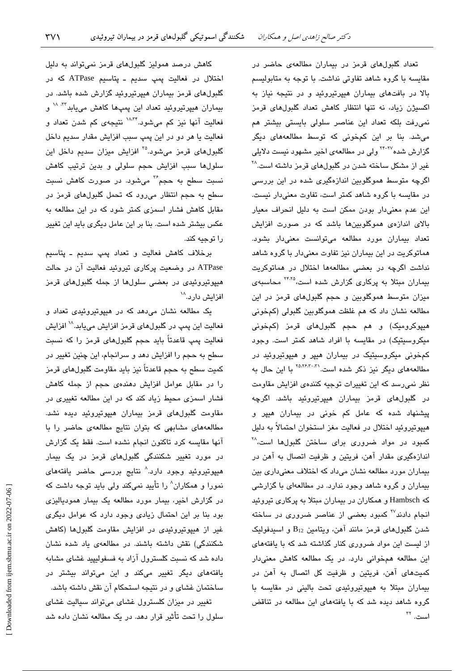تعداد گلبولهای قرمز در بیماران مطالعهی حاضر در مقایسه با گروه شاهد تفاوتی نداشت. با توجه به متابولیسم بالا در بافتهای بیماران هیپرتیروئید و در نتیجه نیاز به اکسیژن زیاد، نه تنها انتظار کاهش تعداد گلبولهای قرمز نمی رفت بلکه تعداد این عناصر سلولی بایستی بیشتر هم میشد. بنا بر این کمخونی که توسط مطالعههای دیگر گزارش شده<sup>۲۲–۲۴</sup> ولی در مطالعهی اخیر مشهود نیست دلایلی غیر از مشکل ساخته شدن در گلبولهای قرمز داشته است.<sup>۲۸</sup> اگرچه متوسط هموگلوبین اندازهگیری شده در این بررسی در مقایسه با گروه شاهد کمتر است، تفاوت معنیدار نیست. این عدم معنی دار بودن ممکن است به دلیل انحراف معیار بالای اندازهی هموگلوبینها باشد که در صورت افزایش تعداد بیماران مورد مطالعه میتوانست معنیدار بشود. هماتوکریت در این بیماران نیز تفاوت معنیدار با گروه شاهد نداشت اگرچه در بعضی مطالعهها اختلال در هماتوکریت بیماران مبتلا به پرکاری گزارش شده است،<sup>۲۴،۲۵</sup> محاسبهی میزان متوسط هموگلوبین و حجم گلبولهای قرمز در این مطالعه نشان داد که هم غلظت هموگلوبین گلبولی (کمخونی هیپوکرومیک) و هم حجم گلبولهای قرمز (کمخونی میکروسیتیک) در مقایسه با افراد شاهد کمتر است. وجود کمخونی میکروسیتیک در بیماران هیپر و هیپوتیروئید در مطالعههای دیگر نیز ذکر شده است.<sup>۲۵،۲۶،۳۰</sup> با این حال به نظر نمی رسد که این تغییرات توجیه کنندهی افزایش مقاومت در گلبولهای قرمز بیماران هیپرتیروئید باشد. اگرچه پیشنهاد شده که عامل کم خونی در بیماران هیپر و هييوتيروئيد اختلال در فعاليت مغز استخوان احتمالاً به دليل کمبود در مواد ضروری برای ساختن گلبولها است، <sup>۲۸</sup> اندازهگیری مقدار آهن، فریتین و ظرفیت اتصال به آهن در بیماران مورد مطالعه نشان میداد که اختلاف معنیداری بین بیماران و گروه شاهد وجود ندارد. در مطالعهای با گزارشی که Hambsch و همکاران در بیماران مبتلا به پرکاری تیروئید انجام دادند<sup>۲۷</sup> کمبود بعضی از عناصر ضروری در ساخته شدن گلبولهای قرمز مانند آهن، ویتامین B12 و اسپدفولیک از لیست این مواد ضروری کنار گذاشته شد که با یافتههای این مطالعه همخوانی دارد. در یک مطالعه کاهش معنیدار کمیتهای آهن، فریتین و ظرفیت کل اتصال به آهن در بیماران مبتلا به هیپوتیروئیدی تحت بالینی در مقایسه با گروه شاهد دیده شد که با یافتههای این مطالعه در تناقض است. <sup>٢٢</sup>

کاهش درصد همولیز گلبولهای قرمز نمیتواند به دلیل اختلال در فعالیت یمپ سدیم ـ پتاسیم ATPase که در گلبولهای قرمز بیماران هیپرتیروئید گزارش شده باشد. در بیماران هیپرتیروئید تعداد این پمپها کاهش می<mark>یابد<sup>۳۲، ۱۸</sup> و</mark> فعالیت آنها نیز کم میشود.<sup>۱۸،۳۴</sup> نتیجهی کم شدن تعداد و فعاليت يا هر دو در اين پمپ سبب افزايش مقدار سديم داخل گلبولهای قرمز میشود.<sup>۲۵</sup> افزایش میزان سدیم داخل این سلولها سبب افزایش حجم سلولی و بدین ترتیب کاهش نسبت سطح به حجم<sup>۳۶</sup> میشود. در صورت کاهش نسبت سطح به حجم انتظار میرود که تحمل گلبولهای قرمز در مقابل کاهش فشار اسمزی کمتر شود که در این مطالعه به عکس بیشتر شده است. بنا بر این عامل دیگری باید این تغییر را توجيه كند.

برخلاف كاهش فعاليت و تعداد پمپ سديم ـ پتاسيم ATPase در وضعیت پرکاری تیروئید فعالیت آن در حالت هیپوتیروئیدی در بعضی سلولها از جمله گلبولهای قرمز افزایش دارد.<sup>۱۸</sup>

یک مطالعه نشان میدهد که در هیپوتیروئیدی تعداد و فعالیت این پمپ در گلبولهای قرمز افزایش مییابد.<sup>۱۸</sup> افزایش فعالیت پمپ قاعدتاً باید حجم گلبولهای قرمز را که نسبت سطح به حجم را افزایش دهد و سرانجام، این چنین تغییر در کمیت سطح به حجم قاعدتاً نیز باید مقاومت گلبولهای قرمز را در مقابل عوامل افزایش دهندهی حجم از جمله کاهش فشار اسمزی محیط زیاد کند که در این مطالعه تغییری در مقاومت گلبولهای قرمز بیماران هیپوتیروئید دیده نشد. مطالعههای مشابهی که بتوان نتایج مطالعهی حاضر را با آنها مقایسه کرد تاکنون انجام نشده است. فقط یک گزارش در مورد <mark>تغیی</mark>ر شکنن*دگی* گلبولها*ی* قرمز در یک بیمار هیپوتیروئید وجود دارد.^ نتایج بررسی حاضر یافتههای نمورا و همکاران^ را تأیید نمیکند ولی باید توجه داشت که در گزارش اخیر، بیمار مورد مطالعه یک بیمار همودیالیزی بود بنا بر این احتمال زیادی وجود دارد که عوامل دیگری غیر از هیپوتیروئیدی در افزایش مقاومت گلبولها (کاهش شکنندگی) نقش داشته باشند. در مطالعهی یاد شده نشان داده شد که نسبت کلسترول آزاد به فسفولیپید غشای مشابه یافتههای دیگر تغییر میکند و این میتواند بیشتر در ساختمان غشای و در نتیجه استحکام آن نقش داشته باشد. تغییر در میزان کلسترول غشای میتواند سیالیت غشای

سلول را تحت تأثیر قرار دهد. در یک مطالعه نشان داده شد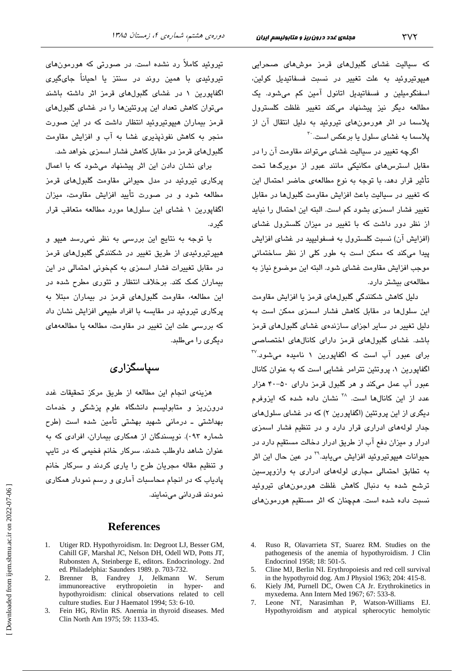که سیالیت غشای گلبولهای قرمز موشهای صحرابی هیپوتیروئید به علت تغییر در نسبت فسفاتیدیل کولین، اسفنگومیلین و فسفاتیدیل اتانول آمین کم میشود. یک مطالعه دیگر نیز پیشنهاد میکند تغییر غلظت کلسترول پلاسما در اثر هورمونهای تروئند به دلیل انتقال آن از پلاسما به غشا*ی* سلول یا برعکس است.<sup>۳۰</sup>

اگرچه تغییر در سیالیت غشای میتواند مقاومت آن را در مقابل استرسهای مکانیکی مانند عبور از مویرگها تحت تأثير قرار دهد، با توجه به نوع مطالعهى حاضر احتمال اين كه تغییر در سیالیت باعث افزایش مقاومت گلبولها در مقابل تغییر فشار اسمزی بشود کم است. البته این احتمال را نباید از نظر دور داشت که با تغییر در میزان کلسترول غشای (افزایش آن) نسبت کلسترول به فسفولیپید در غشای افزایش پیدا میکند که ممکن است به طور کلی از نظر ساختمانی موجب افزايش مقاومت غشاى شود. البته اين موضوع نياز به مطالعهى بيشتر دارد.

دلیل کاهش شکنندگی گلبولهای قرمز یا افزایش مقاومت این سلولها در مقابل کاهش فشار اسمزی ممکن است به دلیل تغییر در سایر اجزای سازندهی غشای گلبولهای قرمز باشد. غشای گلبولهای قرمز دارای کانالهای اختصاصی  $^{\text{IV}}$ برای عبور آب است که اگفاپورین ۱ نامیده میشود. اگفاپورین ۱، پروتئین تترامر غشایی است که به عنوان کانال عبور آب عمل میکند و هر گلبول قرمز دارای ۵۰-۴۰ هزار عدد از این کانالها است. <sup>۲۸</sup> نشان داده شده که ایزوفرم دیگری از این پروتئین (اگفاپورین ۲) که در غشای سلولهای جدار لولههای ادراری قرار دارد و در تنظیم فشار اسمزی ادرار و میزان دفع آب از طریق ادرار دخالت مستقیم دارد در حيوانات هيپوتيروئيد افزايش مىيابد.<sup>7۹</sup> در عين حال اين اثر به تطابق احتمالی مجاری لولههای ادراری به وازویرسین ترشح شده به دنبال کاهش غلظت هورمونهای تیروئید نسبت داده شده است. همچنان که اثر مستقیم هورمونهای

تیروئید کاملاً رد نشده است. در صورتی که هورمونهای تیروئیدی با همین روند در سنتز یا احىاناً جایگىرى اگفایورین ۱ در غشای گلبولهای قرمز اثر داشته باشند میتوان کاهش تعداد این پروتئینها را در غشای گلبولهای قرمز بیماران هیپوتیروئید انتظار داشت که در این صورت منجر به کاهش نفوذیذیری غشا به آب و افزایش مقاومت گلبولهای قرمز در مقابل کاهش فشار اسمزی خواهد شد.

برای نشان دادن این اثر پیشنهاد می شود که با اعمال پرکاری تیروئید در مدل حیوانی مقاومت گلبولهای قرمز مطالعه شود و در صورت تأیید افزایش مقاومت، میزان اگفایورین ۱ غشای این سلولها مورد مطالعه متعاقب قرار گىرد.

با توجه به نتایج این بررسی به نظر نمی رسد هیپو و هیپرتیروئیدی از طریق تغییر در شکنندگی گلبولهای قرمز در مقابل تغییرات فشار اسمزی به کمخونی احتمالی در این بیماران کمک کند. برخلاف انتظار و تئوری مطرح شده در این مطالعه، مقاومت گلبولهای قرمز در بیماران میتلا به پرکاری تیروئید در مقایسه با افراد طبیعی افزایش نشان داد که بررسی علت این تغییر در مقاومت، مطالعه یا مطالعههای دیگری را میطلبد.

سیاسگزاری

هزینهی انجام این مطالعه از طریق مرکز تحقیقات غدد درون ریز و متابولیسم دانشگاه علوم پزشکی و خدمات بهداشتی ـ درمانی شهید بهشتی تأمین شده است (طرح شماره ۰۹۳). نویسندگان از همکاری بیماران، افرادی که به عنوان شاهد داوطلب شدند، سرکار خانم فخیمی که در تابپ و تنظیم مقاله مجریان طرح را یاری کردند و سرکار خانم پادیاب که در انجام محاسبات آماری و رسم نمودار همکاری نمو دند قدر دانی مے نمائند.

## **References**

- 1. Utiger RD. Hypothyroidism. In: Degroot LJ, Besser GM, Cahill GF, Marshal JC, Nelson DH, Odell WD, Potts JT, Rubonsten A, Steinberge E, editors. Endocrinology. 2nd ed. Philadelphia: Saunders 1989. p. 703-732.
- 2. Brenner B, Fandrey J, Jelkmann W. Serum immunoreactive erythropoietin  $in$ hyper- and hypothyroidism: clinical observations related to cell culture studies. Eur J Haematol 1994; 53: 6-10.
- 3. Fein HG, Rivlin RS. Anemia in thyroid diseases. Med Clin North Am 1975; 59: 1133-45.
- 4. Ruso R, Olavarrieta ST, Suarez RM. Studies on the pathogenesis of the anemia of hypothyroidism. J Clin Endocrinol 1958; 18: 501-5.
- 5. Cline MJ, Berlin NI. Erythropoiesis and red cell survival in the hypothyroid dog. Am J Physiol 1963; 204: 415-8.
- Kiely JM, Purnell DC, Owen CA Jr. Erythrokinetics in 6. myxedema. Ann Intern Med 1967; 67: 533-8.
- Leone NT, Narasimhan P, Watson-Williams EJ.  $7<sup>7</sup>$ Hypothyroidism and atypical spherocytic hemolytic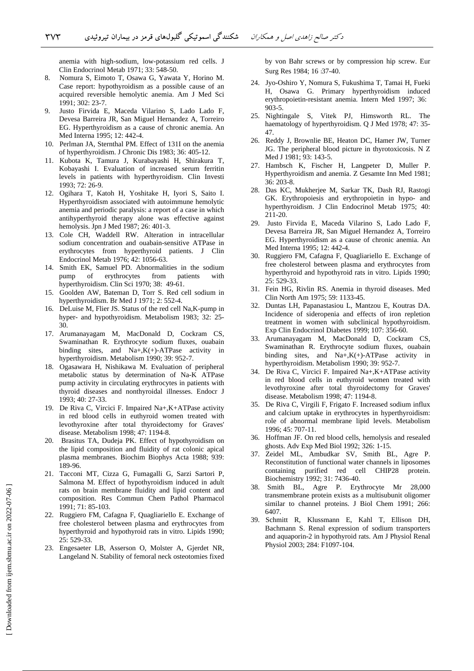anemia with high-sodium, low-potassium red cells. J Clin Endocrinol Metab 1971; 33: 548-50.

- 8. Nomura S, Eimoto T, Osawa G, Yawata Y, Horino M. Case report: hypothyroidism as a possible cause of an acquired reversible hemolytic anemia. Am J Med Sci 1991; 302: 23-7.
- 9. Justo Firvida E, Maceda Vilarino S, Lado Lado F, Devesa Barreira JR, San Miguel Hernandez A, Torreiro EG. Hyperthyroidism as a cause of chronic anemia. An Med Interna 1995; 12: 442-4.
- 10. Perlman JA, Sternthal PM. Effect of 131I on the anemia of hyperthyroidism. J Chronic Dis 1983; 36: 405-12.
- 11. Kubota K, Tamura J, Kurabayashi H, Shirakura T, Kobayashi I. Evaluation of increased serum ferritin levels in patients with hyperthyroidism. Clin Investi 1993; 72: 26-9.
- 12. Ogihara T, Katoh H, Yoshitake H, Iyori S, Saito I. Hyperthyroidism associated with autoimmune hemolytic anemia and periodic paralysis: a report of a case in which antihyperthyroid therapy alone was effective against hemolysis. Jpn J Med 1987; 26: 401-3.
- 13. Cole CH, Waddell RW. Alteration in intracellular sodium concentration and ouabain-sensitive ATPase in erythrocytes from hyperthyroid patients. J Clin Endocrinol Metab 1976; 42: 1056-63.
- 14. Smith EK, Samuel PD. Abnormalities in the sodium pump of erythrocytes from patients with hyperthyroidism. Clin Sci 1970; 38: 49-61.
- 15. Goolden AW, Bateman D, Torr S. Red cell sodium in hyperthyroidism. Br Med J 1971; 2: 552-4.
- 16. DeLuise M, Flier JS. Status of the red cell Na,K-pump in hyper- and hypothyroidism. Metabolism 1983; 32: 25- 30.
- 17. Arumanayagam M, MacDonald D, Cockram CS, Swaminathan R. Erythrocyte sodium fluxes, ouabain binding sites, and Na+,K(+)-ATPase activity in hyperthyroidism. Metabolism 1990; 39: 952-7.
- 18. Ogasawara H, Nishikawa M. Evaluation of peripheral metabolic status by determination of Na-K ATPase pump activity in circulating erythrocytes in patients with thyroid diseases and nonthyroidal illnesses. Endocr J 1993; 40: 27-33.
- 19. De Riva C, Vircici F. Impaired Na+,K+ATPase activity in red blood cells in euthyroid women treated with levothyroxine after total thyroidectomy for Graves' disease. Metabolism 1998; 47: 1194-8.
- 20. Brasitus TA, Dudeja PK. Effect of hypothyroidism on the lipid composition and fluidity of rat colonic apical plasma membranes. Biochim Biophys Acta 1988; 939: 189-96.
- 21. Tacconi MT, Cizza G, Fumagalli G, Sarzi Sartori P, Salmona M. Effect of hypothyroidism induced in adult rats on brain membrane fluidity and lipid content and composition. Res Commun Chem Pathol Pharmacol 1991; 71: 85-103.
- 22. Ruggiero FM, Cafagna F, Quagliariello E. Exchange of free cholesterol between plasma and erythrocytes from hyperthyroid and hypothyroid rats in vitro. Lipids 1990; 25: 529-33.
- 23. Engesaeter LB, Asserson O, Molster A, Gjerdet NR, Langeland N. Stability of femoral neck osteotomies fixed

by von Bahr screws or by compression hip screw. Eur Surg Res 1984; 16 :37-40.

- 24. Jyo-Oshiro Y, Nomura S, Fukushima T, Tamai H, Fueki H, Osawa G. Primary hyperthyroidism induced erythropoietin-resistant anemia. Intern Med 1997; 36: 903-5.
- 25. Nightingale S, Vitek PJ, Himsworth RL. The haematology of hyperthyroidism. Q J Med 1978; 47: 35- 47.
- 26. Reddy J, Brownlie BE, Heaton DC, Hamer JW, Turner JG. The peripheral blood picture in thyrotoxicosis. N Z Med J 1981; 93: 143-5.
- 27. Hambsch K, Fischer H, Langpeter D, Muller P. Hyperthyroidism and anemia. Z Gesamte Inn Med 1981; 36: 203-8.
- 28. Das KC, Mukherjee M, Sarkar TK, Dash RJ, Rastogi GK. Erythropoiesis and erythropoietin in hypo- and hyperthyroidism. J Clin Endocrinol Metab 1975; 40: 211-20.
- 29. Justo Firvida E, Maceda Vilarino S, Lado Lado F, Devesa Barreira JR, San Miguel Hernandez A, Torreiro EG. Hyperthyroidism as a cause of chronic anemia. An Med Interna 1995; 12: 442-4.
- 30. Ruggiero FM, Cafagna F, Quagliariello E. Exchange of free cholesterol between plasma and erythrocytes from hyperthyroid and hypothyroid rats in vitro. Lipids 1990; 25: 529-33.
- 31. Fein HG, Rivlin RS. Anemia in thyroid diseases. Med Clin North Am 1975; 59: 1133-45.
- 32. Duntas LH, Papanastasiou L, Mantzou E, Koutras DA. Incidence of sideropenia and effects of iron repletion treatment in women with subclinical hypothyroidism. Exp Clin Endocrinol Diabetes 1999; 107: 356-60.
- 33. Arumanayagam M, MacDonald D, Cockram CS, Swaminathan R. Erythrocyte sodium fluxes, ouabain binding sites, and  $Na+$ , $K$ (+)-ATPase activity in hyperthyroidism. Metabolism 1990; 39: 952-7.
- 34. De Riva C, Vircici F. Impaired Na+,K+ATPase activity in red blood cells in euthyroid women treated with levothyroxine after total thyroidectomy for Graves' disease. Metabolism 1998; 47: 1194-8.
- 35. De Riva C, Virgili F, Frigato F. Increased sodium influx and calcium uptake in erythrocytes in hyperthyroidism: role of abnormal membrane lipid levels. Metabolism 1996; 45: 707-11.
- 36. Hoffman JF. On red blood cells, hemolysis and resealed ghosts. Adv Exp Med Biol 1992; 326: 1-15.
- 37. Zeidel ML, Ambudkar SV, Smith BL, Agre P. Reconstitution of functional water channels in liposomes containing purified red cell CHIP28 protein. Biochemistry 1992; 31: 7436-40.
- 38. Smith BL, Agre P. Erythrocyte Mr 28,000 transmembrane protein exists as a multisubunit oligomer similar to channel proteins. J Biol Chem 1991; 266: 6407.
- 39. Schmitt R, Klussmann E, Kahl T, Ellison DH, Bachmann S. Renal expression of sodium transporters and aquaporin-2 in hypothyroid rats. Am J Physiol Renal Physiol 2003; 284: F1097-104.